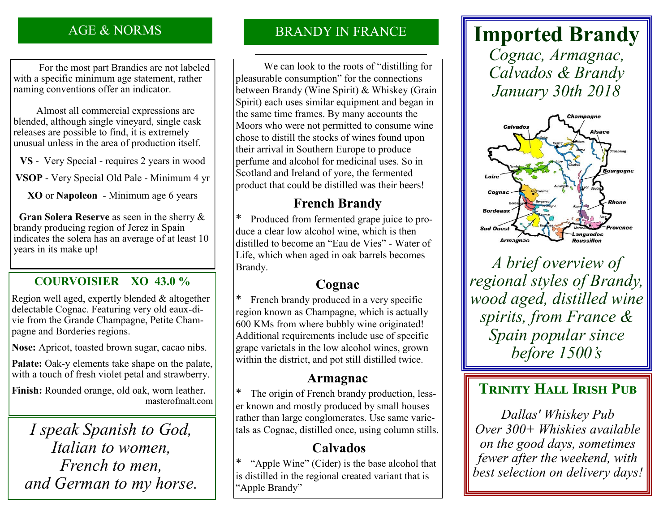### AGE & NORMS

 For the most part Brandies are not labeled with a specific minimum age statement, rather naming conventions offer an indicator.

 Almost all commercial expressions are blended, although single vineyard, single cask releases are possible to find, it is extremely unusual unless in the area of production itself.

**VS** - Very Special - requires 2 years in wood

**VSOP** - Very Special Old Pale - Minimum 4 yr

**XO** or **Napoleon** - Minimum age 6 years

 **Gran Solera Reserve** as seen in the sherry & brandy producing region of Jerez in Spain indicates the solera has an average of at least 10 years in its make up!

### **COURVOISIER XO 43.0 %**

Region well aged, expertly blended & altogether delectable Cognac. Featuring very old eaux-divie from the Grande Champagne, Petite Champagne and Borderies regions.

**Nose:** Apricot, toasted brown sugar, cacao nibs.

**Palate:** Oak-y elements take shape on the palate, with a touch of fresh violet petal and strawberry.

**Finish:** Rounded orange, old oak, worn leather. masterofmalt.com

*I speak Spanish to God, Italian to women, French to men, and German to my horse.*

### BRANDY IN FRANCE

 We can look to the roots of "distilling for pleasurable consumption" for the connections between Brandy (Wine Spirit) & Whiskey (Grain Spirit) each uses similar equipment and began in the same time frames. By many accounts the Moors who were not permitted to consume wine chose to distill the stocks of wines found upon their arrival in Southern Europe to produce perfume and alcohol for medicinal uses. So in Scotland and Ireland of yore, the fermented product that could be distilled was their beers!

# **French Brandy**

\* Produced from fermented grape juice to produce a clear low alcohol wine, which is then distilled to become an "Eau de Vies" - Water of Life, which when aged in oak barrels becomes Brandy.

# **Cognac**

\* French brandy produced in a very specific region known as Champagne, which is actually 600 KMs from where bubbly wine originated! Additional requirements include use of specific grape varietals in the low alcohol wines, grown within the district, and pot still distilled twice.

# **Armagnac**

\* The origin of French brandy production, lesser known and mostly produced by small houses rather than large conglomerates. Use same varietals as Cognac, distilled once, using column stills.

# **Calvados**

\* "Apple Wine" (Cider) is the base alcohol that is distilled in the regional created variant that is "Apple Brandy"

# **Imported Brandy**

*Cognac, Armagnac, Calvados & Brandy January 30th 2018*



*A brief overview of regional styles of Brandy, wood aged, distilled wine spirits, from France & Spain popular since before 1500's*

# **TRINITY HALL IRISH PUB**

*Dallas' Whiskey Pub Over 300+ Whiskies available on the good days, sometimes fewer after the weekend, with best selection on delivery days!*